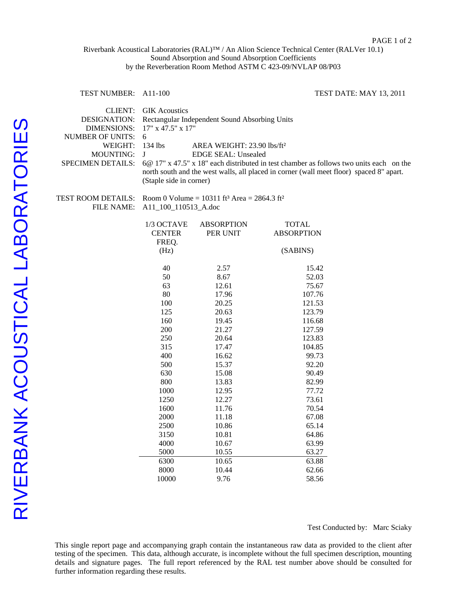## Riverbank Acoustical Laboratories (RAL)™ / An Alion Science Technical Center (RALVer 10.1) Sound Absorption and Sound Absorption Coefficients by the Reverberation Room Method ASTM C 423-09/NVLAP 08/P03

| <b>TEST NUMBER:</b>                                                                                                                        | A <sub>11</sub> -100<br>TEST DATE: MAY 13, 2011                                                                                                                                                                                                                                                                                                                                                         |                                         |                                             |  |
|--------------------------------------------------------------------------------------------------------------------------------------------|---------------------------------------------------------------------------------------------------------------------------------------------------------------------------------------------------------------------------------------------------------------------------------------------------------------------------------------------------------------------------------------------------------|-----------------------------------------|---------------------------------------------|--|
| <b>CLIENT:</b><br><b>DESIGNATION:</b><br><b>DIMENSIONS:</b><br><b>NUMBER OF UNITS:</b><br>WEIGHT:<br><b>MOUNTING:</b><br>SPECIMEN DETAILS: | <b>GIK Acoustics</b><br>Rectangular Independent Sound Absorbing Units<br>17" x 47.5" x 17"<br>6<br>134 lbs<br>AREA WEIGHT: 23.90 lbs/ft <sup>2</sup><br><b>EDGE SEAL: Unsealed</b><br>J<br>6@ 17" x 47.5" x 18" each distributed in test chamber as follows two units each on the<br>north south and the west walls, all placed in corner (wall meet floor) spaced 8" apart.<br>(Staple side in corner) |                                         |                                             |  |
| TEST ROOM DETAILS:<br><b>FILE NAME:</b>                                                                                                    | Room 0 Volume = 10311 ft <sup>3</sup> Area = 2864.3 ft <sup>2</sup><br>A11_100_110513_A.doc                                                                                                                                                                                                                                                                                                             |                                         |                                             |  |
|                                                                                                                                            | 1/3 OCTAVE<br><b>CENTER</b><br>FREQ.                                                                                                                                                                                                                                                                                                                                                                    | <b>ABSORPTION</b><br>PER UNIT           | TOTAL<br><b>ABSORPTION</b>                  |  |
|                                                                                                                                            | (Hz)<br>(SABINS)                                                                                                                                                                                                                                                                                                                                                                                        |                                         |                                             |  |
|                                                                                                                                            | 40<br>50<br>63<br>80<br>100                                                                                                                                                                                                                                                                                                                                                                             | 2.57<br>8.67<br>12.61<br>17.96<br>20.25 | 15.42<br>52.03<br>75.67<br>107.76<br>121.53 |  |
|                                                                                                                                            | 125<br>160<br>200<br>250                                                                                                                                                                                                                                                                                                                                                                                | 20.63<br>19.45<br>21.27<br>20.64        | 123.79<br>116.68<br>127.59<br>123.83        |  |
|                                                                                                                                            | 315<br>400<br>500<br>630                                                                                                                                                                                                                                                                                                                                                                                | 17.47<br>16.62<br>15.37<br>15.08        | 104.85<br>99.73<br>92.20<br>90.49           |  |
|                                                                                                                                            | 800<br>1000<br>1250<br>1600                                                                                                                                                                                                                                                                                                                                                                             | 13.83<br>12.95<br>12.27<br>11.76        | 82.99<br>77.72<br>73.61<br>70.54            |  |
|                                                                                                                                            | 2000<br>2500<br>3150<br>4000                                                                                                                                                                                                                                                                                                                                                                            | 11.18<br>10.86<br>10.81<br>10.67        | 67.08<br>65.14<br>64.86<br>63.99            |  |
|                                                                                                                                            | 5000<br>6300<br>8000<br>10000                                                                                                                                                                                                                                                                                                                                                                           | 10.55<br>10.65<br>10.44<br>9.76         | 63.27<br>63.88<br>62.66<br>58.56            |  |

Test Conducted by: Marc Sciaky

This single report page and accompanying graph contain the instantaneous raw data as provided to the client after testing of the specimen. This data, although accurate, is incomplete without the full specimen description, mounting details and signature pages. The full report referenced by the RAL test number above should be consulted for further information regarding these results.